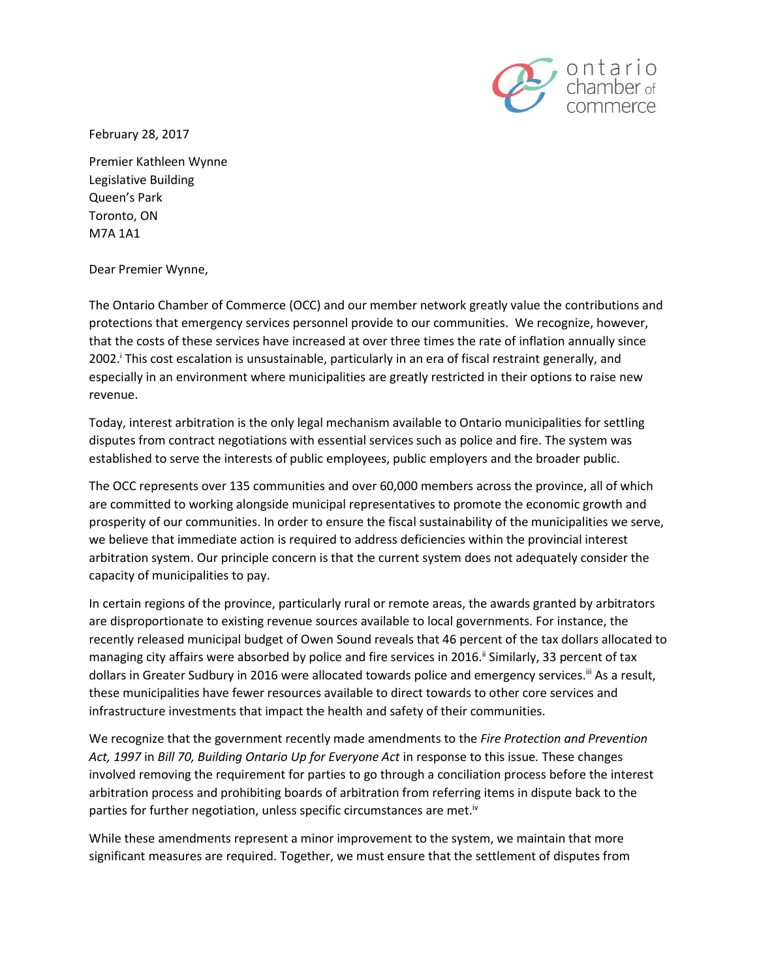

February 28, 2017

Premier Kathleen Wynne Legislative Building Queen's Park Toronto, ON M7A 1A1

Dear Premier Wynne,

The Ontario Chamber of Commerce (OCC) and our member network greatly value the contributions and protections that emergency services personnel provide to our communities. We recognize, however, that the costs of these services have increased at over three times the rate of inflation annually since 2002.<sup>I</sup> This cost escalation is unsustainable, particularly in an era of fiscal restraint generally, and especially in an environment where municipalities are greatly restricted in their options to raise new revenue.

Today, interest arbitration is the only legal mechanism available to Ontario municipalities for settling disputes from contract negotiations with essential services such as police and fire. The system was established to serve the interests of public employees, public employers and the broader public.

The OCC represents over 135 communities and over 60,000 members across the province, all of which are committed to working alongside municipal representatives to promote the economic growth and prosperity of our communities. In order to ensure the fiscal sustainability of the municipalities we serve, we believe that immediate action is required to address deficiencies within the provincial interest arbitration system. Our principle concern is that the current system does not adequately consider the capacity of municipalities to pay.

In certain regions of the province, particularly rural or remote areas, the awards granted by arbitrators are disproportionate to existing revenue sources available to local governments. For instance, the recently released municipal budget of Owen Sound reveals that 46 percent of the tax dollars allocated to managing city affairs were absorbed by police and fire services in 2016.<sup>ii</sup> Similarly, 33 percent of tax dollars in Greater Sudbury in 2016 were allocated towards police and emergency services.<sup>iii</sup> As a result, these municipalities have fewer resources available to direct towards to other core services and infrastructure investments that impact the health and safety of their communities.

We recognize that the government recently made amendments to the *Fire Protection and Prevention Act, 1997* in *Bill 70, Building Ontario Up for Everyone Act* in response to this issue*.* These changes involved removing the requirement for parties to go through a conciliation process before the interest arbitration process and prohibiting boards of arbitration from referring items in dispute back to the parties for further negotiation, unless specific circumstances are met.<sup>iv</sup>

While these amendments represent a minor improvement to the system, we maintain that more significant measures are required. Together, we must ensure that the settlement of disputes from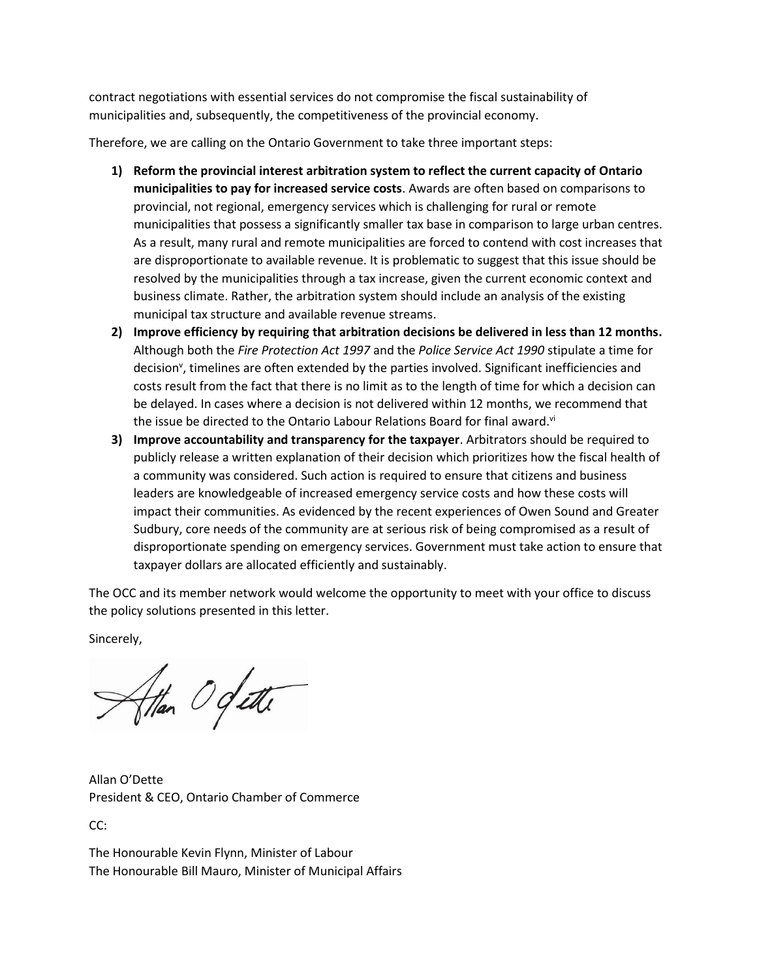contract negotiations with essential services do not compromise the fiscal sustainability of municipalities and, subsequently, the competitiveness of the provincial economy.

Therefore, we are calling on the Ontario Government to take three important steps:

- **1) Reform the provincial interest arbitration system to reflect the current capacity of Ontario municipalities to pay for increased service costs**. Awards are often based on comparisons to provincial, not regional, emergency services which is challenging for rural or remote municipalities that possess a significantly smaller tax base in comparison to large urban centres. As a result, many rural and remote municipalities are forced to contend with cost increases that are disproportionate to available revenue. It is problematic to suggest that this issue should be resolved by the municipalities through a tax increase, given the current economic context and business climate. Rather, the arbitration system should include an analysis of the existing municipal tax structure and available revenue streams.
- **2) Improve efficiency by requiring that arbitration decisions be delivered in less than 12 months.**  Although both the *Fire Protection Act 1997* and the *Police Service Act 1990* stipulate a time for decision<sup>v</sup>, timelines are often extended by the parties involved. Significant inefficiencies and costs result from the fact that there is no limit as to the length of time for which a decision can be delayed. In cases where a decision is not delivered within 12 months, we recommend that the issue be directed to the Ontario Labour Relations Board for final award.<sup>vi</sup>
- **3) Improve accountability and transparency for the taxpayer**. Arbitrators should be required to publicly release a written explanation of their decision which prioritizes how the fiscal health of a community was considered. Such action is required to ensure that citizens and business leaders are knowledgeable of increased emergency service costs and how these costs will impact their communities. As evidenced by the recent experiences of Owen Sound and Greater Sudbury, core needs of the community are at serious risk of being compromised as a result of disproportionate spending on emergency services. Government must take action to ensure that taxpayer dollars are allocated efficiently and sustainably.

The OCC and its member network would welcome the opportunity to meet with your office to discuss the policy solutions presented in this letter.

Sincerely,

than Ogette

Allan O'Dette President & CEO, Ontario Chamber of Commerce

CC:

The Honourable Kevin Flynn, Minister of Labour The Honourable Bill Mauro, Minister of Municipal Affairs